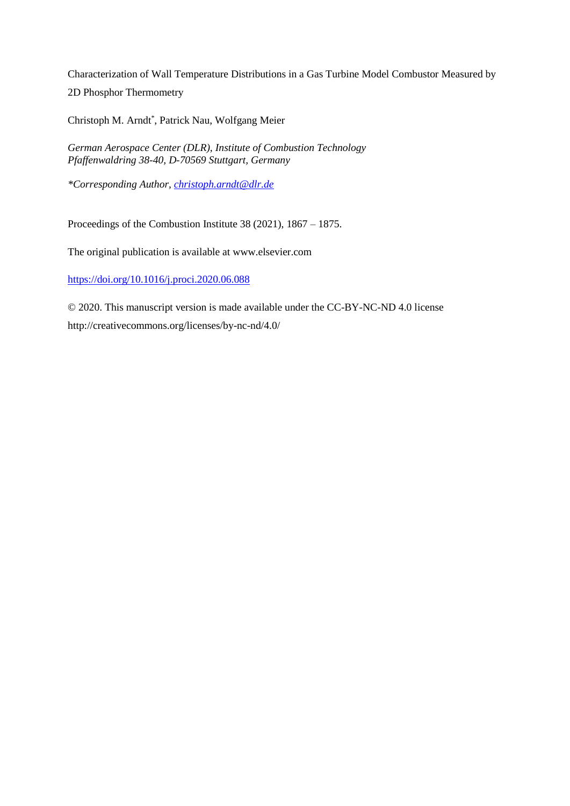Characterization of Wall Temperature Distributions in a Gas Turbine Model Combustor Measured by 2D Phosphor Thermometry

Christoph M. Arndt\* , Patrick Nau, Wolfgang Meier

*German Aerospace Center (DLR), Institute of Combustion Technology Pfaffenwaldring 38-40, D-70569 Stuttgart, Germany*

*\*Corresponding Author, [christoph.arndt@dlr.de](mailto:christoph.arndt@dlr.de)*

Proceedings of the Combustion Institute 38 (2021), 1867 – 1875.

The original publication is available at www.elsevier.com

<https://doi.org/10.1016/j.proci.2020.06.088>

© 2020. This manuscript version is made available under the CC-BY-NC-ND 4.0 license http://creativecommons.org/licenses/by-nc-nd/4.0/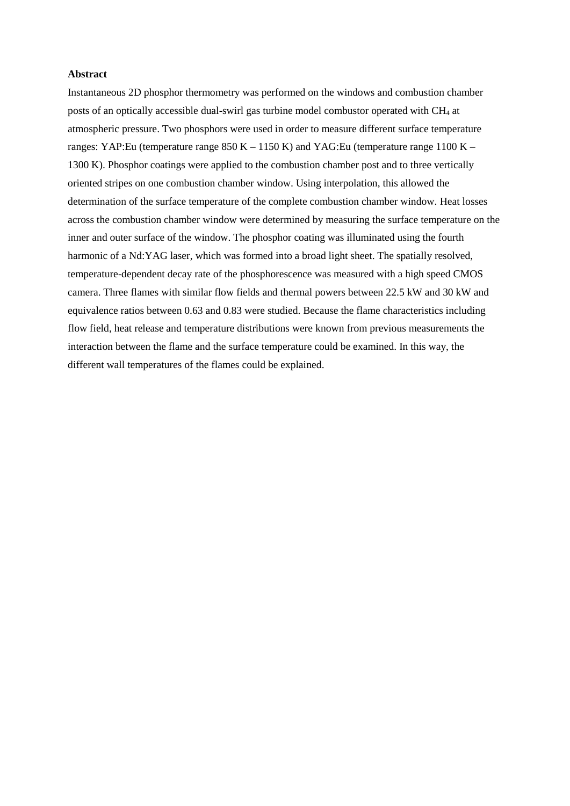### **Abstract**

Instantaneous 2D phosphor thermometry was performed on the windows and combustion chamber posts of an optically accessible dual-swirl gas turbine model combustor operated with CH<sup>4</sup> at atmospheric pressure. Two phosphors were used in order to measure different surface temperature ranges: YAP:Eu (temperature range 850 K – 1150 K) and YAG:Eu (temperature range 1100 K – 1300 K). Phosphor coatings were applied to the combustion chamber post and to three vertically oriented stripes on one combustion chamber window. Using interpolation, this allowed the determination of the surface temperature of the complete combustion chamber window. Heat losses across the combustion chamber window were determined by measuring the surface temperature on the inner and outer surface of the window. The phosphor coating was illuminated using the fourth harmonic of a Nd:YAG laser, which was formed into a broad light sheet. The spatially resolved, temperature-dependent decay rate of the phosphorescence was measured with a high speed CMOS camera. Three flames with similar flow fields and thermal powers between 22.5 kW and 30 kW and equivalence ratios between 0.63 and 0.83 were studied. Because the flame characteristics including flow field, heat release and temperature distributions were known from previous measurements the interaction between the flame and the surface temperature could be examined. In this way, the different wall temperatures of the flames could be explained.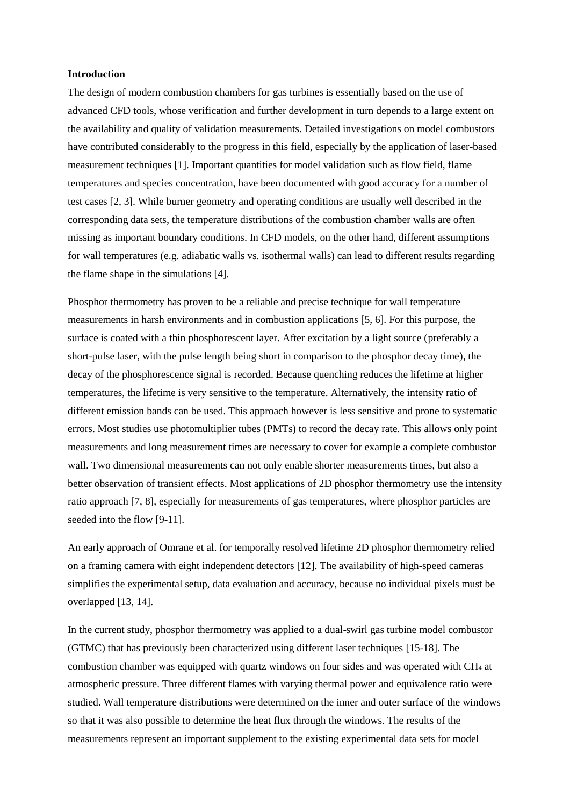# **Introduction**

The design of modern combustion chambers for gas turbines is essentially based on the use of advanced CFD tools, whose verification and further development in turn depends to a large extent on the availability and quality of validation measurements. Detailed investigations on model combustors have contributed considerably to the progress in this field, especially by the application of laser-based measurement techniques [\[1\]](#page-15-0). Important quantities for model validation such as flow field, flame temperatures and species concentration, have been documented with good accuracy for a number of test cases [\[2,](#page-15-1) [3\]](#page-15-2). While burner geometry and operating conditions are usually well described in the corresponding data sets, the temperature distributions of the combustion chamber walls are often missing as important boundary conditions. In CFD models, on the other hand, different assumptions for wall temperatures (e.g. adiabatic walls vs. isothermal walls) can lead to different results regarding the flame shape in the simulations [\[4\]](#page-15-3).

Phosphor thermometry has proven to be a reliable and precise technique for wall temperature measurements in harsh environments and in combustion applications [\[5,](#page-15-4) [6\]](#page-15-5). For this purpose, the surface is coated with a thin phosphorescent layer. After excitation by a light source (preferably a short-pulse laser, with the pulse length being short in comparison to the phosphor decay time), the decay of the phosphorescence signal is recorded. Because quenching reduces the lifetime at higher temperatures, the lifetime is very sensitive to the temperature. Alternatively, the intensity ratio of different emission bands can be used. This approach however is less sensitive and prone to systematic errors. Most studies use photomultiplier tubes (PMTs) to record the decay rate. This allows only point measurements and long measurement times are necessary to cover for example a complete combustor wall. Two dimensional measurements can not only enable shorter measurements times, but also a better observation of transient effects. Most applications of 2D phosphor thermometry use the intensity ratio approach [\[7,](#page-15-6) [8\]](#page-15-7), especially for measurements of gas temperatures, where phosphor particles are seeded into the flow [\[9-11\]](#page-15-8).

An early approach of Omrane et al. for temporally resolved lifetime 2D phosphor thermometry relied on a framing camera with eight independent detectors [\[12\]](#page-15-9). The availability of high-speed cameras simplifies the experimental setup, data evaluation and accuracy, because no individual pixels must be overlapped [\[13,](#page-15-10) [14\]](#page-15-11).

In the current study, phosphor thermometry was applied to a dual-swirl gas turbine model combustor (GTMC) that has previously been characterized using different laser techniques [\[15-18\]](#page-15-12). The combustion chamber was equipped with quartz windows on four sides and was operated with  $CH<sub>4</sub>$  at atmospheric pressure. Three different flames with varying thermal power and equivalence ratio were studied. Wall temperature distributions were determined on the inner and outer surface of the windows so that it was also possible to determine the heat flux through the windows. The results of the measurements represent an important supplement to the existing experimental data sets for model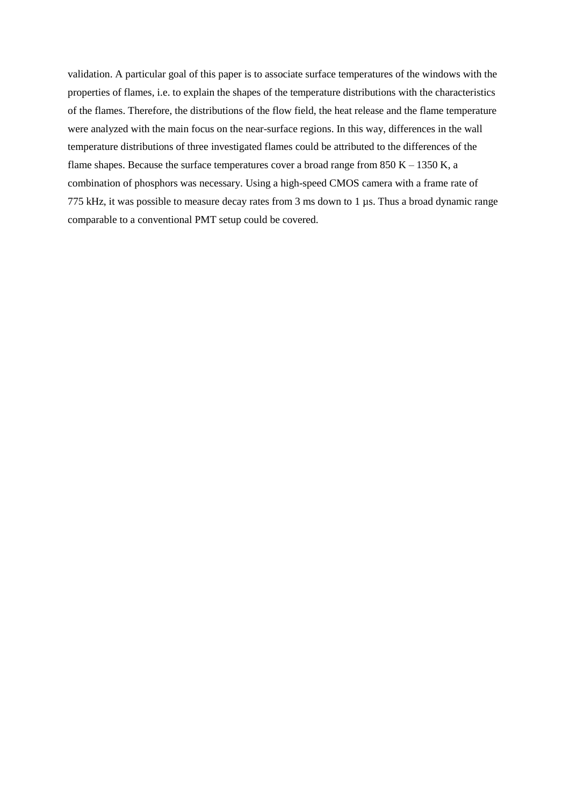validation. A particular goal of this paper is to associate surface temperatures of the windows with the properties of flames, i.e. to explain the shapes of the temperature distributions with the characteristics of the flames. Therefore, the distributions of the flow field, the heat release and the flame temperature were analyzed with the main focus on the near-surface regions. In this way, differences in the wall temperature distributions of three investigated flames could be attributed to the differences of the flame shapes. Because the surface temperatures cover a broad range from  $850 K - 1350 K$ , a combination of phosphors was necessary. Using a high-speed CMOS camera with a frame rate of 775 kHz, it was possible to measure decay rates from 3 ms down to 1 µs. Thus a broad dynamic range comparable to a conventional PMT setup could be covered.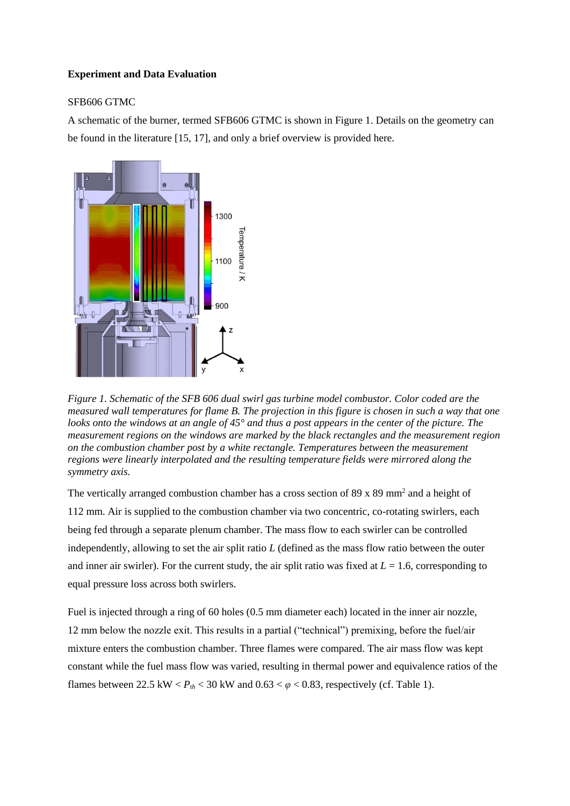# **Experiment and Data Evaluation**

# SFB606 GTMC

A schematic of the burner, termed SFB606 GTMC is shown in [Figure 1.](#page-4-0) Details on the geometry can be found in the literature [\[15,](#page-15-12) [17\]](#page-15-13), and only a brief overview is provided here.



<span id="page-4-0"></span>*Figure 1. Schematic of the SFB 606 dual swirl gas turbine model combustor. Color coded are the measured wall temperatures for flame B. The projection in this figure is chosen in such a way that one looks onto the windows at an angle of 45° and thus a post appears in the center of the picture. The measurement regions on the windows are marked by the black rectangles and the measurement region on the combustion chamber post by a white rectangle. Temperatures between the measurement regions were linearly interpolated and the resulting temperature fields were mirrored along the symmetry axis.*

The vertically arranged combustion chamber has a cross section of 89 x 89 mm<sup>2</sup> and a height of 112 mm. Air is supplied to the combustion chamber via two concentric, co-rotating swirlers, each being fed through a separate plenum chamber. The mass flow to each swirler can be controlled independently, allowing to set the air split ratio *L* (defined as the mass flow ratio between the outer and inner air swirler). For the current study, the air split ratio was fixed at  $L = 1.6$ , corresponding to equal pressure loss across both swirlers.

Fuel is injected through a ring of 60 holes (0.5 mm diameter each) located in the inner air nozzle, 12 mm below the nozzle exit. This results in a partial ("technical") premixing, before the fuel/air mixture enters the combustion chamber. Three flames were compared. The air mass flow was kept constant while the fuel mass flow was varied, resulting in thermal power and equivalence ratios of the flames between 22.5 kW  $\langle P_{th} \rangle$  < 30 kW and 0.63  $\langle \varphi \rangle$  < 0.83, respectively (cf. Table 1).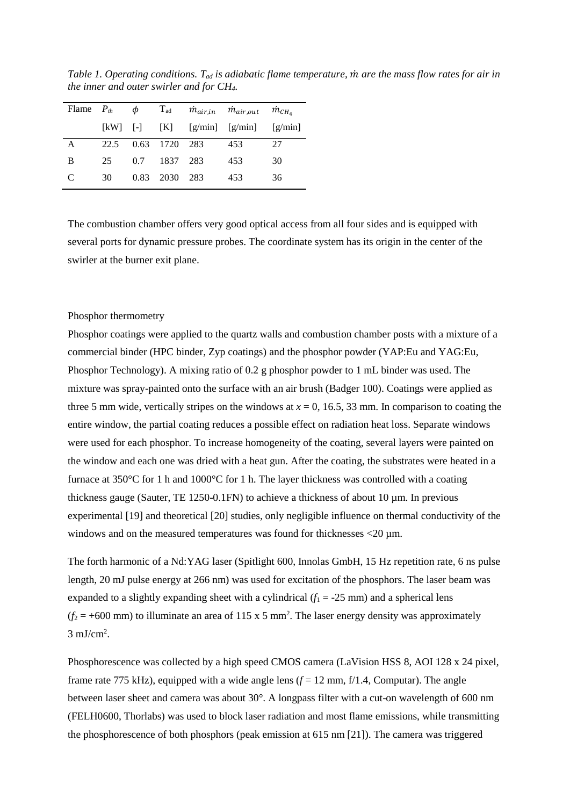*Table 1. Operating conditions. Tad is adiabatic flame temperature,* ̇ *are the mass flow rates for air in the inner and outer swirler and for CH4.*

| Flame $P_{th}$ $\phi$ T <sub>ad</sub> |      |      |               | $\dot{m}_{air,in}$ $\dot{m}_{air,out}$         | $\dot{m}_{CH_4}$ |
|---------------------------------------|------|------|---------------|------------------------------------------------|------------------|
|                                       |      |      |               | $[kW]$ [-] $[K]$ $[g/min]$ $[g/min]$ $[g/min]$ |                  |
| A                                     | 22.5 |      | 0.63 1720 283 | 453                                            | 27               |
| B                                     | 25   | 0.7  | 1837 283      | 453                                            | 30               |
| C                                     | 30   | 0.83 | 2030 283      | 453                                            | 36               |

The combustion chamber offers very good optical access from all four sides and is equipped with several ports for dynamic pressure probes. The coordinate system has its origin in the center of the swirler at the burner exit plane.

### Phosphor thermometry

Phosphor coatings were applied to the quartz walls and combustion chamber posts with a mixture of a commercial binder (HPC binder, Zyp coatings) and the phosphor powder (YAP:Eu and YAG:Eu, Phosphor Technology). A mixing ratio of 0.2 g phosphor powder to 1 mL binder was used. The mixture was spray-painted onto the surface with an air brush (Badger 100). Coatings were applied as three 5 mm wide, vertically stripes on the windows at  $x = 0$ , 16.5, 33 mm. In comparison to coating the entire window, the partial coating reduces a possible effect on radiation heat loss. Separate windows were used for each phosphor. To increase homogeneity of the coating, several layers were painted on the window and each one was dried with a heat gun. After the coating, the substrates were heated in a furnace at 350°C for 1 h and 1000°C for 1 h. The layer thickness was controlled with a coating thickness gauge (Sauter, TE 1250-0.1FN) to achieve a thickness of about 10  $\mu$ m. In previous experimental [\[19\]](#page-15-14) and theoretical [\[20\]](#page-15-15) studies, only negligible influence on thermal conductivity of the windows and on the measured temperatures was found for thicknesses  $\langle 20 \mu m$ .

The forth harmonic of a Nd:YAG laser (Spitlight 600, Innolas GmbH, 15 Hz repetition rate, 6 ns pulse length, 20 mJ pulse energy at 266 nm) was used for excitation of the phosphors. The laser beam was expanded to a slightly expanding sheet with a cylindrical  $(f_1 = -25 \text{ mm})$  and a spherical lens  $(f_2 = +600 \text{ mm})$  to illuminate an area of 115 x 5 mm<sup>2</sup>. The laser energy density was approximately  $3 \text{ mJ/cm}^2$ .

Phosphorescence was collected by a high speed CMOS camera (LaVision HSS 8, AOI 128 x 24 pixel, frame rate 775 kHz), equipped with a wide angle lens  $(f = 12$  mm,  $f/1.4$ , Computar). The angle between laser sheet and camera was about 30°. A longpass filter with a cut-on wavelength of 600 nm (FELH0600, Thorlabs) was used to block laser radiation and most flame emissions, while transmitting the phosphorescence of both phosphors (peak emission at 615 nm [\[21\]](#page-15-16)). The camera was triggered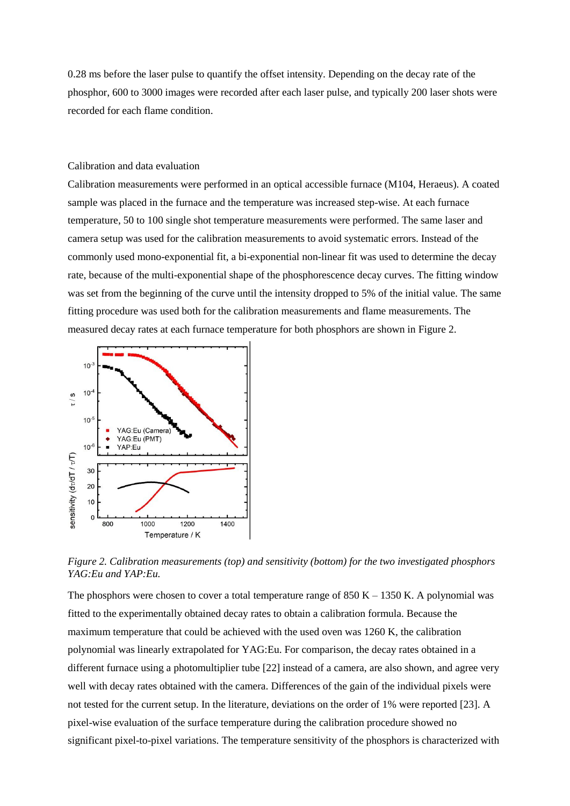0.28 ms before the laser pulse to quantify the offset intensity. Depending on the decay rate of the phosphor, 600 to 3000 images were recorded after each laser pulse, and typically 200 laser shots were recorded for each flame condition.

#### Calibration and data evaluation

Calibration measurements were performed in an optical accessible furnace (M104, Heraeus). A coated sample was placed in the furnace and the temperature was increased step-wise. At each furnace temperature, 50 to 100 single shot temperature measurements were performed. The same laser and camera setup was used for the calibration measurements to avoid systematic errors. Instead of the commonly used mono-exponential fit, a bi-exponential non-linear fit was used to determine the decay rate, because of the multi-exponential shape of the phosphorescence decay curves. The fitting window was set from the beginning of the curve until the intensity dropped to 5% of the initial value. The same fitting procedure was used both for the calibration measurements and flame measurements. The measured decay rates at each furnace temperature for both phosphors are shown in [Figure 2.](#page-6-0)



<span id="page-6-0"></span>*Figure 2. Calibration measurements (top) and sensitivity (bottom) for the two investigated phosphors YAG:Eu and YAP:Eu.*

The phosphors were chosen to cover a total temperature range of  $850 K - 1350 K$ . A polynomial was fitted to the experimentally obtained decay rates to obtain a calibration formula. Because the maximum temperature that could be achieved with the used oven was 1260 K, the calibration polynomial was linearly extrapolated for YAG:Eu. For comparison, the decay rates obtained in a different furnace using a photomultiplier tube [\[22\]](#page-16-0) instead of a camera, are also shown, and agree very well with decay rates obtained with the camera. Differences of the gain of the individual pixels were not tested for the current setup. In the literature, deviations on the order of 1% were reported [\[23\]](#page-16-1). A pixel-wise evaluation of the surface temperature during the calibration procedure showed no significant pixel-to-pixel variations. The temperature sensitivity of the phosphors is characterized with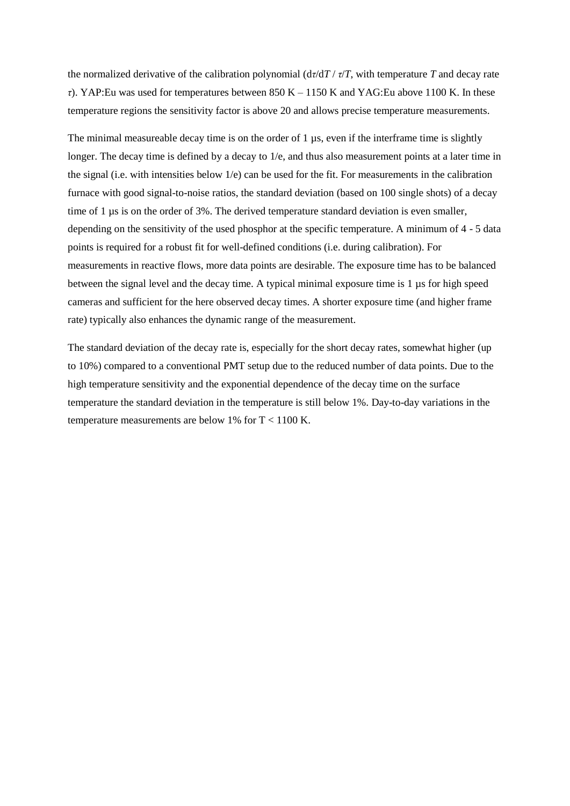the normalized derivative of the calibration polynomial  $\left(\frac{d\tau}{dT} / \frac{\tau}{T}\right)$ , with temperature *T* and decay rate *τ*). YAP:Eu was used for temperatures between  $850 K - 1150 K$  and YAG:Eu above 1100 K. In these temperature regions the sensitivity factor is above 20 and allows precise temperature measurements.

The minimal measureable decay time is on the order of  $1 \mu s$ , even if the interframe time is slightly longer. The decay time is defined by a decay to 1/e, and thus also measurement points at a later time in the signal (i.e. with intensities below 1/e) can be used for the fit. For measurements in the calibration furnace with good signal-to-noise ratios, the standard deviation (based on 100 single shots) of a decay time of 1 µs is on the order of 3%. The derived temperature standard deviation is even smaller, depending on the sensitivity of the used phosphor at the specific temperature. A minimum of 4 - 5 data points is required for a robust fit for well-defined conditions (i.e. during calibration). For measurements in reactive flows, more data points are desirable. The exposure time has to be balanced between the signal level and the decay time. A typical minimal exposure time is 1 µs for high speed cameras and sufficient for the here observed decay times. A shorter exposure time (and higher frame rate) typically also enhances the dynamic range of the measurement.

The standard deviation of the decay rate is, especially for the short decay rates, somewhat higher (up to 10%) compared to a conventional PMT setup due to the reduced number of data points. Due to the high temperature sensitivity and the exponential dependence of the decay time on the surface temperature the standard deviation in the temperature is still below 1%. Day-to-day variations in the temperature measurements are below 1% for  $T < 1100$  K.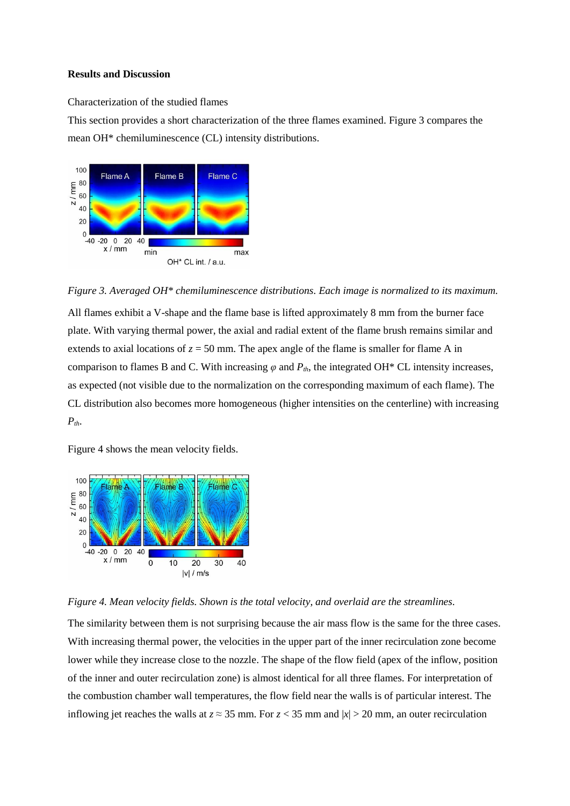### **Results and Discussion**

Characterization of the studied flames

This section provides a short characterization of the three flames examined. [Figure 3](#page-8-0) compares the mean OH\* chemiluminescence (CL) intensity distributions.



<span id="page-8-0"></span>*Figure 3. Averaged OH\* chemiluminescence distributions. Each image is normalized to its maximum.*

All flames exhibit a V-shape and the flame base is lifted approximately 8 mm from the burner face plate. With varying thermal power, the axial and radial extent of the flame brush remains similar and extends to axial locations of  $z = 50$  mm. The apex angle of the flame is smaller for flame A in comparison to flames B and C. With increasing  $\varphi$  and  $P_{th}$ , the integrated OH<sup>\*</sup> CL intensity increases, as expected (not visible due to the normalization on the corresponding maximum of each flame). The CL distribution also becomes more homogeneous (higher intensities on the centerline) with increasing *Pth*.

[Figure 4](#page-8-1) shows the mean velocity fields.



<span id="page-8-1"></span>*Figure 4. Mean velocity fields. Shown is the total velocity, and overlaid are the streamlines.* 

The similarity between them is not surprising because the air mass flow is the same for the three cases. With increasing thermal power, the velocities in the upper part of the inner recirculation zone become lower while they increase close to the nozzle. The shape of the flow field (apex of the inflow, position of the inner and outer recirculation zone) is almost identical for all three flames. For interpretation of the combustion chamber wall temperatures, the flow field near the walls is of particular interest. The inflowing jet reaches the walls at  $z \approx 35$  mm. For  $z < 35$  mm and  $|x| > 20$  mm, an outer recirculation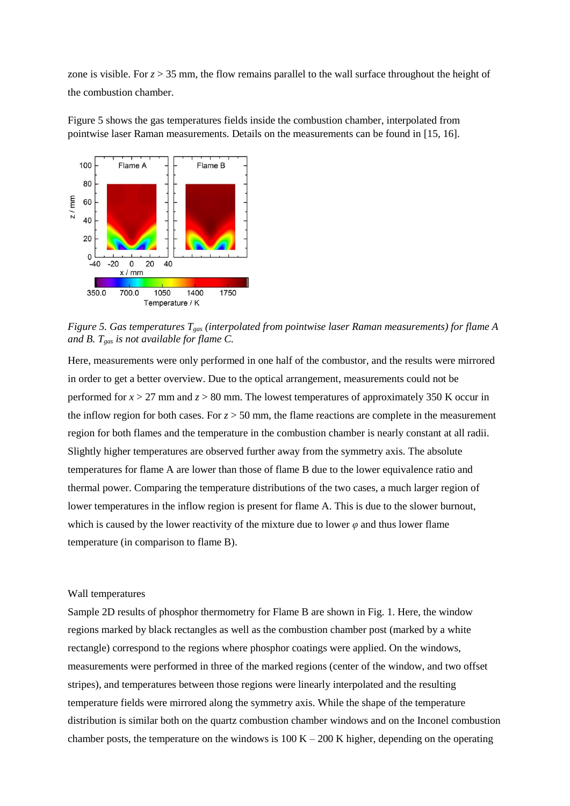zone is visible. For *z* > 35 mm, the flow remains parallel to the wall surface throughout the height of the combustion chamber.

[Figure 5](#page-9-0) shows the gas temperatures fields inside the combustion chamber, interpolated from pointwise laser Raman measurements. Details on the measurements can be found in [\[15,](#page-15-12) [16\]](#page-15-17).



<span id="page-9-0"></span>*Figure 5. Gas temperatures Tgas (interpolated from pointwise laser Raman measurements) for flame A and B. Tgas is not available for flame C.*

Here, measurements were only performed in one half of the combustor, and the results were mirrored in order to get a better overview. Due to the optical arrangement, measurements could not be performed for  $x > 27$  mm and  $z > 80$  mm. The lowest temperatures of approximately 350 K occur in the inflow region for both cases. For  $z > 50$  mm, the flame reactions are complete in the measurement region for both flames and the temperature in the combustion chamber is nearly constant at all radii. Slightly higher temperatures are observed further away from the symmetry axis. The absolute temperatures for flame A are lower than those of flame B due to the lower equivalence ratio and thermal power. Comparing the temperature distributions of the two cases, a much larger region of lower temperatures in the inflow region is present for flame A. This is due to the slower burnout, which is caused by the lower reactivity of the mixture due to lower  $\varphi$  and thus lower flame temperature (in comparison to flame B).

### Wall temperatures

Sample 2D results of phosphor thermometry for Flame B are shown in Fig. 1. Here, the window regions marked by black rectangles as well as the combustion chamber post (marked by a white rectangle) correspond to the regions where phosphor coatings were applied. On the windows, measurements were performed in three of the marked regions (center of the window, and two offset stripes), and temperatures between those regions were linearly interpolated and the resulting temperature fields were mirrored along the symmetry axis. While the shape of the temperature distribution is similar both on the quartz combustion chamber windows and on the Inconel combustion chamber posts, the temperature on the windows is  $100 K - 200 K$  higher, depending on the operating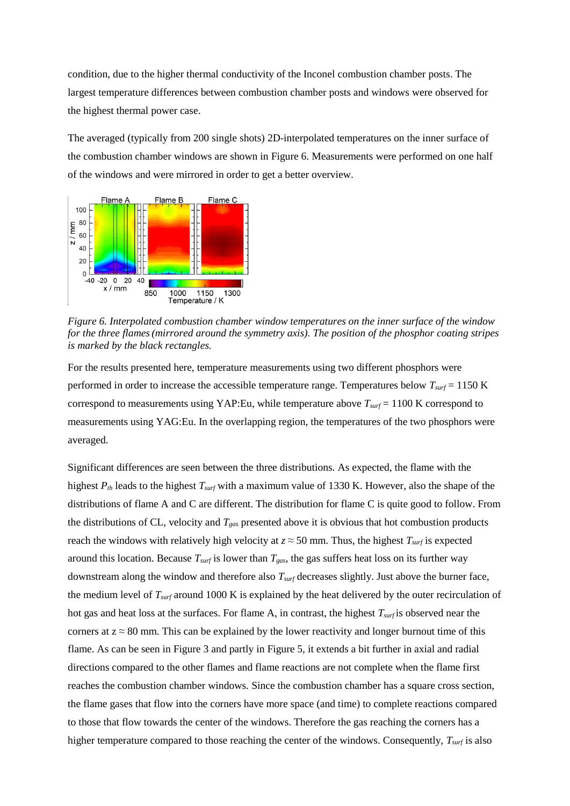condition, due to the higher thermal conductivity of the Inconel combustion chamber posts. The largest temperature differences between combustion chamber posts and windows were observed for the highest thermal power case.

The averaged (typically from 200 single shots) 2D-interpolated temperatures on the inner surface of the combustion chamber windows are shown in [Figure 6.](#page-10-0) Measurements were performed on one half of the windows and were mirrored in order to get a better overview.



<span id="page-10-0"></span>*Figure 6. Interpolated combustion chamber window temperatures on the inner surface of the window for the three flames(mirrored around the symmetry axis). The position of the phosphor coating stripes is marked by the black rectangles.*

For the results presented here, temperature measurements using two different phosphors were performed in order to increase the accessible temperature range. Temperatures below *Tsurf* = 1150 K correspond to measurements using YAP:Eu, while temperature above  $T_{\text{surf}} = 1100 \text{ K}$  correspond to measurements using YAG:Eu. In the overlapping region, the temperatures of the two phosphors were averaged.

Significant differences are seen between the three distributions. As expected, the flame with the highest *Pth* leads to the highest *Tsurf* with a maximum value of 1330 K. However, also the shape of the distributions of flame A and C are different. The distribution for flame C is quite good to follow. From the distributions of CL, velocity and *Tgas* presented above it is obvious that hot combustion products reach the windows with relatively high velocity at  $z \approx 50$  mm. Thus, the highest  $T_{surf}$  is expected around this location. Because  $T_{surf}$  is lower than  $T_{gas}$ , the gas suffers heat loss on its further way downstream along the window and therefore also *Tsurf* decreases slightly. Just above the burner face, the medium level of *Tsurf* around 1000 K is explained by the heat delivered by the outer recirculation of hot gas and heat loss at the surfaces. For flame A, in contrast, the highest *Tsurf* is observed near the corners at  $z \approx 80$  mm. This can be explained by the lower reactivity and longer burnout time of this flame. As can be seen in [Figure 3](#page-8-0) and partly in [Figure 5,](#page-9-0) it extends a bit further in axial and radial directions compared to the other flames and flame reactions are not complete when the flame first reaches the combustion chamber windows. Since the combustion chamber has a square cross section, the flame gases that flow into the corners have more space (and time) to complete reactions compared to those that flow towards the center of the windows. Therefore the gas reaching the corners has a higher temperature compared to those reaching the center of the windows. Consequently, *Tsurf* is also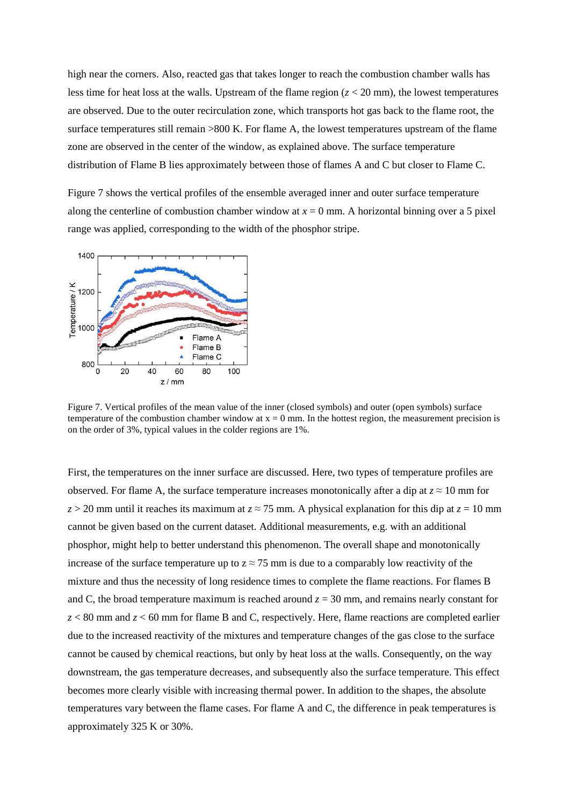high near the corners. Also, reacted gas that takes longer to reach the combustion chamber walls has less time for heat loss at the walls. Upstream of the flame region  $(z < 20$  mm), the lowest temperatures are observed. Due to the outer recirculation zone, which transports hot gas back to the flame root, the surface temperatures still remain >800 K. For flame A, the lowest temperatures upstream of the flame zone are observed in the center of the window, as explained above. The surface temperature distribution of Flame B lies approximately between those of flames A and C but closer to Flame C.

[Figure 7](#page-11-0) shows the vertical profiles of the ensemble averaged inner and outer surface temperature along the centerline of combustion chamber window at  $x = 0$  mm. A horizontal binning over a 5 pixel range was applied, corresponding to the width of the phosphor stripe.



<span id="page-11-0"></span>Figure 7. Vertical profiles of the mean value of the inner (closed symbols) and outer (open symbols) surface temperature of the combustion chamber window at  $x = 0$  mm. In the hottest region, the measurement precision is on the order of 3%, typical values in the colder regions are 1%.

First, the temperatures on the inner surface are discussed. Here, two types of temperature profiles are observed. For flame A, the surface temperature increases monotonically after a dip at  $z \approx 10$  mm for  $z > 20$  mm until it reaches its maximum at  $z \approx 75$  mm. A physical explanation for this dip at  $z = 10$  mm cannot be given based on the current dataset. Additional measurements, e.g. with an additional phosphor, might help to better understand this phenomenon. The overall shape and monotonically increase of the surface temperature up to  $z \approx 75$  mm is due to a comparably low reactivity of the mixture and thus the necessity of long residence times to complete the flame reactions. For flames B and C, the broad temperature maximum is reached around  $z = 30$  mm, and remains nearly constant for *z* < 80 mm and *z* < 60 mm for flame B and C, respectively. Here, flame reactions are completed earlier due to the increased reactivity of the mixtures and temperature changes of the gas close to the surface cannot be caused by chemical reactions, but only by heat loss at the walls. Consequently, on the way downstream, the gas temperature decreases, and subsequently also the surface temperature. This effect becomes more clearly visible with increasing thermal power. In addition to the shapes, the absolute temperatures vary between the flame cases. For flame A and C, the difference in peak temperatures is approximately 325 K or 30%.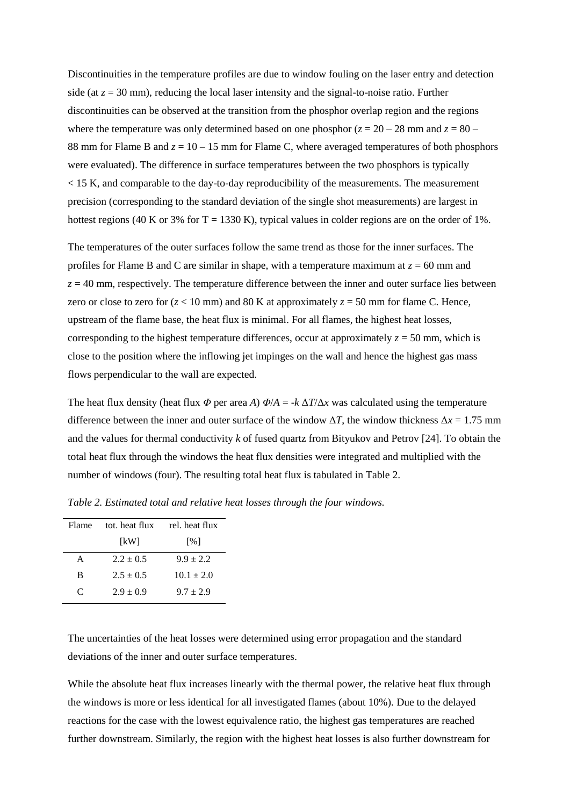Discontinuities in the temperature profiles are due to window fouling on the laser entry and detection side (at  $z = 30$  mm), reducing the local laser intensity and the signal-to-noise ratio. Further discontinuities can be observed at the transition from the phosphor overlap region and the regions where the temperature was only determined based on one phosphor ( $z = 20 - 28$  mm and  $z = 80 - 28$ ) 88 mm for Flame B and *z* = 10 – 15 mm for Flame C, where averaged temperatures of both phosphors were evaluated). The difference in surface temperatures between the two phosphors is typically  $<$  15 K, and comparable to the day-to-day reproducibility of the measurements. The measurement precision (corresponding to the standard deviation of the single shot measurements) are largest in hottest regions (40 K or 3% for  $T = 1330$  K), typical values in colder regions are on the order of 1%.

The temperatures of the outer surfaces follow the same trend as those for the inner surfaces. The profiles for Flame B and C are similar in shape, with a temperature maximum at *z* = 60 mm and  $z = 40$  mm, respectively. The temperature difference between the inner and outer surface lies between zero or close to zero for  $(z < 10 \text{ mm})$  and 80 K at approximately  $z = 50 \text{ mm}$  for flame C. Hence, upstream of the flame base, the heat flux is minimal. For all flames, the highest heat losses, corresponding to the highest temperature differences, occur at approximately  $z = 50$  mm, which is close to the position where the inflowing jet impinges on the wall and hence the highest gas mass flows perpendicular to the wall are expected.

The heat flux density (heat flux  $\Phi$  per area *A*)  $\Phi/A = -k \Delta T/\Delta x$  was calculated using the temperature difference between the inner and outer surface of the window  $\Delta T$ , the window thickness  $\Delta x = 1.75$  mm and the values for thermal conductivity *k* of fused quartz from Bityukov and Petrov [\[24\]](#page-16-2). To obtain the total heat flux through the windows the heat flux densities were integrated and multiplied with the number of windows (four). The resulting total heat flux is tabulated in [Table 2.](#page-12-0)

| Flame | tot. heat flux | rel. heat flux |  |
|-------|----------------|----------------|--|
|       | [kW]           | $\sqrt{6}$     |  |
| A     | $2.2 + 0.5$    | $9.9 \pm 2.2$  |  |
| B     | $2.5 \pm 0.5$  | $10.1 \pm 2.0$ |  |
| C     | $2.9 + 0.9$    | $9.7 \pm 2.9$  |  |

<span id="page-12-0"></span>*Table 2. Estimated total and relative heat losses through the four windows.*

The uncertainties of the heat losses were determined using error propagation and the standard deviations of the inner and outer surface temperatures.

While the absolute heat flux increases linearly with the thermal power, the relative heat flux through the windows is more or less identical for all investigated flames (about 10%). Due to the delayed reactions for the case with the lowest equivalence ratio, the highest gas temperatures are reached further downstream. Similarly, the region with the highest heat losses is also further downstream for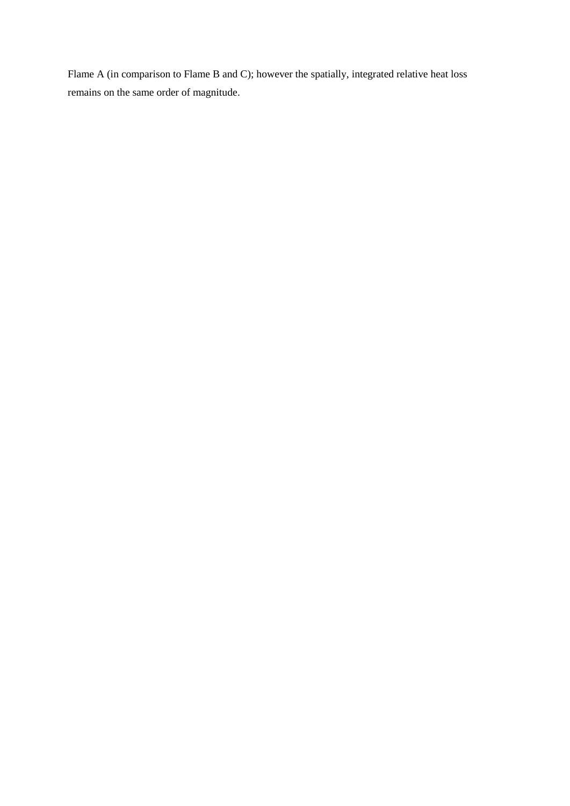Flame A (in comparison to Flame B and C); however the spatially, integrated relative heat loss remains on the same order of magnitude.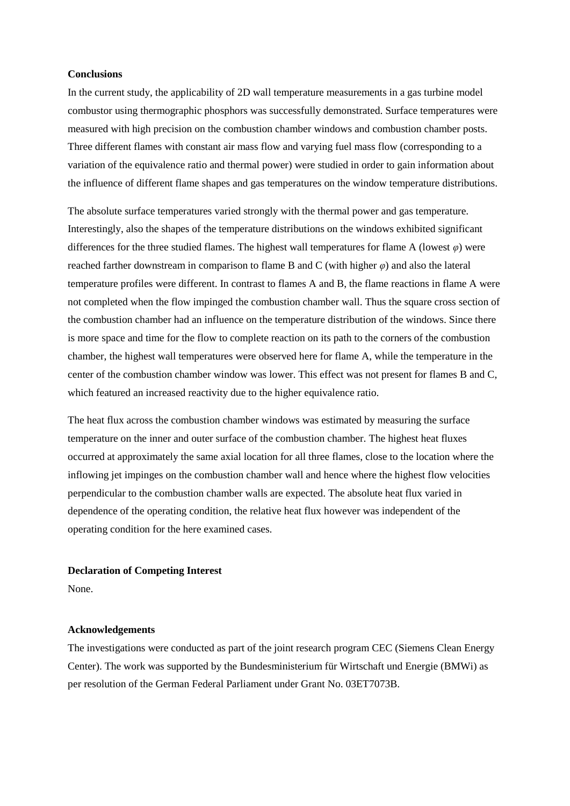### **Conclusions**

In the current study, the applicability of 2D wall temperature measurements in a gas turbine model combustor using thermographic phosphors was successfully demonstrated. Surface temperatures were measured with high precision on the combustion chamber windows and combustion chamber posts. Three different flames with constant air mass flow and varying fuel mass flow (corresponding to a variation of the equivalence ratio and thermal power) were studied in order to gain information about the influence of different flame shapes and gas temperatures on the window temperature distributions.

The absolute surface temperatures varied strongly with the thermal power and gas temperature. Interestingly, also the shapes of the temperature distributions on the windows exhibited significant differences for the three studied flames. The highest wall temperatures for flame A (lowest *φ*) were reached farther downstream in comparison to flame B and C (with higher *φ*) and also the lateral temperature profiles were different. In contrast to flames A and B, the flame reactions in flame A were not completed when the flow impinged the combustion chamber wall. Thus the square cross section of the combustion chamber had an influence on the temperature distribution of the windows. Since there is more space and time for the flow to complete reaction on its path to the corners of the combustion chamber, the highest wall temperatures were observed here for flame A, while the temperature in the center of the combustion chamber window was lower. This effect was not present for flames B and C, which featured an increased reactivity due to the higher equivalence ratio.

The heat flux across the combustion chamber windows was estimated by measuring the surface temperature on the inner and outer surface of the combustion chamber. The highest heat fluxes occurred at approximately the same axial location for all three flames, close to the location where the inflowing jet impinges on the combustion chamber wall and hence where the highest flow velocities perpendicular to the combustion chamber walls are expected. The absolute heat flux varied in dependence of the operating condition, the relative heat flux however was independent of the operating condition for the here examined cases.

### **Declaration of Competing Interest**

None.

### **Acknowledgements**

The investigations were conducted as part of the joint research program CEC (Siemens Clean Energy Center). The work was supported by the Bundesministerium für Wirtschaft und Energie (BMWi) as per resolution of the German Federal Parliament under Grant No. 03ET7073B.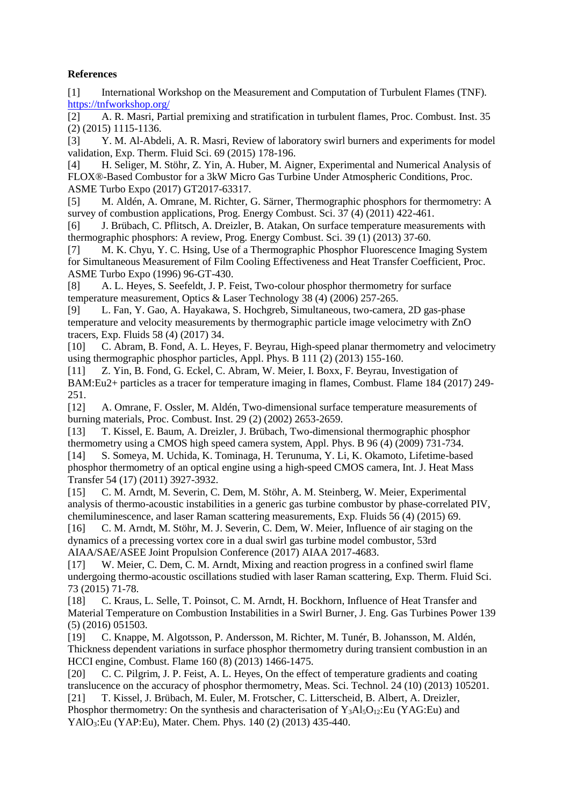# **References**

<span id="page-15-0"></span>[1] International Workshop on the Measurement and Computation of Turbulent Flames (TNF). <https://tnfworkshop.org/>

<span id="page-15-1"></span>[2] A. R. Masri, Partial premixing and stratification in turbulent flames, Proc. Combust. Inst. 35 (2) (2015) 1115-1136.

<span id="page-15-2"></span>[3] Y. M. Al-Abdeli, A. R. Masri, Review of laboratory swirl burners and experiments for model validation, Exp. Therm. Fluid Sci. 69 (2015) 178-196.

<span id="page-15-3"></span>[4] H. Seliger, M. Stöhr, Z. Yin, A. Huber, M. Aigner, Experimental and Numerical Analysis of FLOX®-Based Combustor for a 3kW Micro Gas Turbine Under Atmospheric Conditions, Proc. ASME Turbo Expo (2017) GT2017-63317.

<span id="page-15-4"></span>[5] M. Aldén, A. Omrane, M. Richter, G. Särner, Thermographic phosphors for thermometry: A survey of combustion applications, Prog. Energy Combust. Sci. 37 (4) (2011) 422-461.

<span id="page-15-5"></span>[6] J. Brübach, C. Pflitsch, A. Dreizler, B. Atakan, On surface temperature measurements with thermographic phosphors: A review, Prog. Energy Combust. Sci. 39 (1) (2013) 37-60.

<span id="page-15-6"></span>[7] M. K. Chyu, Y. C. Hsing, Use of a Thermographic Phosphor Fluorescence Imaging System for Simultaneous Measurement of Film Cooling Effectiveness and Heat Transfer Coefficient, Proc. ASME Turbo Expo (1996) 96-GT-430.

<span id="page-15-7"></span>[8] A. L. Heyes, S. Seefeldt, J. P. Feist, Two-colour phosphor thermometry for surface temperature measurement, Optics & Laser Technology 38 (4) (2006) 257-265.

<span id="page-15-8"></span>[9] L. Fan, Y. Gao, A. Hayakawa, S. Hochgreb, Simultaneous, two-camera, 2D gas-phase temperature and velocity measurements by thermographic particle image velocimetry with ZnO tracers, Exp. Fluids 58 (4) (2017) 34.

[10] C. Abram, B. Fond, A. L. Heyes, F. Beyrau, High-speed planar thermometry and velocimetry using thermographic phosphor particles, Appl. Phys. B 111 (2) (2013) 155-160.

[11] Z. Yin, B. Fond, G. Eckel, C. Abram, W. Meier, I. Boxx, F. Beyrau, Investigation of BAM:Eu2+ particles as a tracer for temperature imaging in flames, Combust. Flame 184 (2017) 249- 251.

<span id="page-15-9"></span>[12] A. Omrane, F. Ossler, M. Aldén, Two-dimensional surface temperature measurements of burning materials, Proc. Combust. Inst. 29 (2) (2002) 2653-2659.

<span id="page-15-10"></span>[13] T. Kissel, E. Baum, A. Dreizler, J. Brübach, Two-dimensional thermographic phosphor thermometry using a CMOS high speed camera system, Appl. Phys. B 96 (4) (2009) 731-734.

<span id="page-15-11"></span>[14] S. Someya, M. Uchida, K. Tominaga, H. Terunuma, Y. Li, K. Okamoto, Lifetime-based phosphor thermometry of an optical engine using a high-speed CMOS camera, Int. J. Heat Mass Transfer 54 (17) (2011) 3927-3932.

<span id="page-15-12"></span>[15] C. M. Arndt, M. Severin, C. Dem, M. Stöhr, A. M. Steinberg, W. Meier, Experimental analysis of thermo-acoustic instabilities in a generic gas turbine combustor by phase-correlated PIV, chemiluminescence, and laser Raman scattering measurements, Exp. Fluids 56 (4) (2015) 69.

<span id="page-15-17"></span>[16] C. M. Arndt, M. Stöhr, M. J. Severin, C. Dem, W. Meier, Influence of air staging on the dynamics of a precessing vortex core in a dual swirl gas turbine model combustor, 53rd AIAA/SAE/ASEE Joint Propulsion Conference (2017) AIAA 2017-4683.

<span id="page-15-13"></span>[17] W. Meier, C. Dem, C. M. Arndt, Mixing and reaction progress in a confined swirl flame undergoing thermo-acoustic oscillations studied with laser Raman scattering, Exp. Therm. Fluid Sci. 73 (2015) 71-78.

[18] C. Kraus, L. Selle, T. Poinsot, C. M. Arndt, H. Bockhorn, Influence of Heat Transfer and Material Temperature on Combustion Instabilities in a Swirl Burner, J. Eng. Gas Turbines Power 139 (5) (2016) 051503.

<span id="page-15-14"></span>[19] C. Knappe, M. Algotsson, P. Andersson, M. Richter, M. Tunér, B. Johansson, M. Aldén, Thickness dependent variations in surface phosphor thermometry during transient combustion in an HCCI engine, Combust. Flame 160 (8) (2013) 1466-1475.

<span id="page-15-15"></span>[20] C. C. Pilgrim, J. P. Feist, A. L. Heyes, On the effect of temperature gradients and coating translucence on the accuracy of phosphor thermometry, Meas. Sci. Technol. 24 (10) (2013) 105201. [21] T. Kissel, J. Brübach, M. Euler, M. Frotscher, C. Litterscheid, B. Albert, A. Dreizler, Phosphor thermometry: On the synthesis and characterisation of  $Y_3AI_5O_{12}$ :Eu (YAG:Eu) and YAlO3:Eu (YAP:Eu), Mater. Chem. Phys. 140 (2) (2013) 435-440.

<span id="page-15-16"></span>